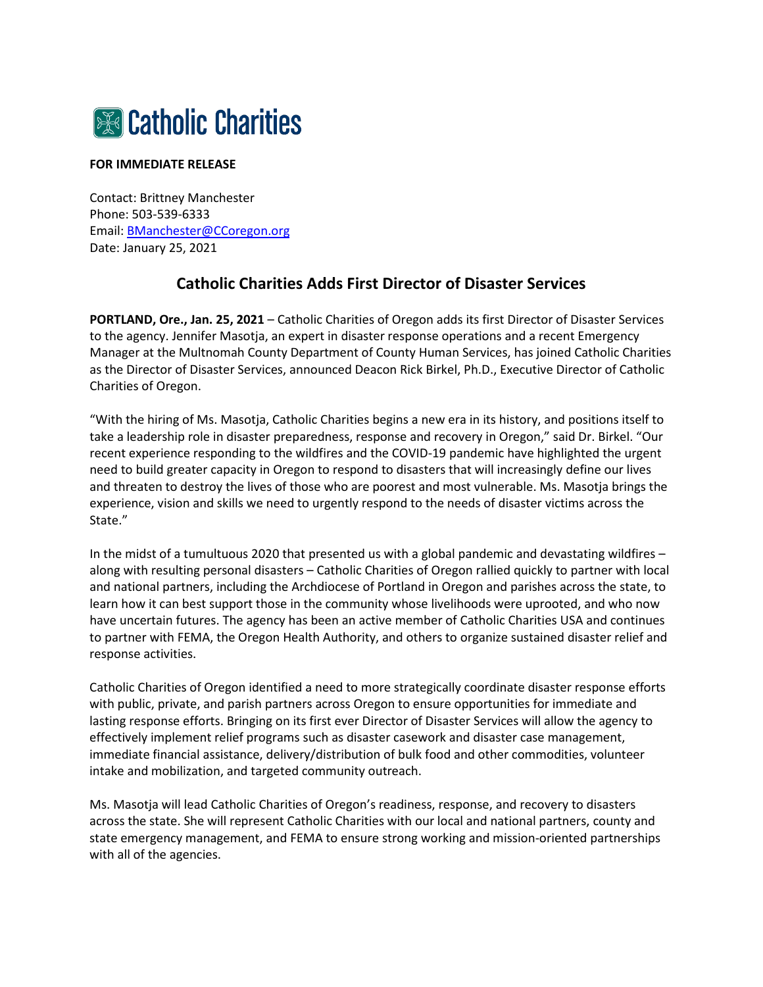

## **FOR IMMEDIATE RELEASE**

Contact: Brittney Manchester Phone: 503-539-6333 Email: [BManchester@CCoregon.org](mailto:BManchester@CCoregon.org) Date: January 25, 2021

## **Catholic Charities Adds First Director of Disaster Services**

**PORTLAND, Ore., Jan. 25, 2021** – Catholic Charities of Oregon adds its first Director of Disaster Services to the agency. Jennifer Masotja, an expert in disaster response operations and a recent Emergency Manager at the Multnomah County Department of County Human Services, has joined Catholic Charities as the Director of Disaster Services, announced Deacon Rick Birkel, Ph.D., Executive Director of Catholic Charities of Oregon.

"With the hiring of Ms. Masotja, Catholic Charities begins a new era in its history, and positions itself to take a leadership role in disaster preparedness, response and recovery in Oregon," said Dr. Birkel. "Our recent experience responding to the wildfires and the COVID-19 pandemic have highlighted the urgent need to build greater capacity in Oregon to respond to disasters that will increasingly define our lives and threaten to destroy the lives of those who are poorest and most vulnerable. Ms. Masotja brings the experience, vision and skills we need to urgently respond to the needs of disaster victims across the State."

In the midst of a tumultuous 2020 that presented us with a global pandemic and devastating wildfires – along with resulting personal disasters – Catholic Charities of Oregon rallied quickly to partner with local and national partners, including the Archdiocese of Portland in Oregon and parishes across the state, to learn how it can best support those in the community whose livelihoods were uprooted, and who now have uncertain futures. The agency has been an active member of Catholic Charities USA and continues to partner with FEMA, the Oregon Health Authority, and others to organize sustained disaster relief and response activities.

Catholic Charities of Oregon identified a need to more strategically coordinate disaster response efforts with public, private, and parish partners across Oregon to ensure opportunities for immediate and lasting response efforts. Bringing on its first ever Director of Disaster Services will allow the agency to effectively implement relief programs such as disaster casework and disaster case management, immediate financial assistance, delivery/distribution of bulk food and other commodities, volunteer intake and mobilization, and targeted community outreach.

Ms. Masotja will lead Catholic Charities of Oregon's readiness, response, and recovery to disasters across the state. She will represent Catholic Charities with our local and national partners, county and state emergency management, and FEMA to ensure strong working and mission-oriented partnerships with all of the agencies.